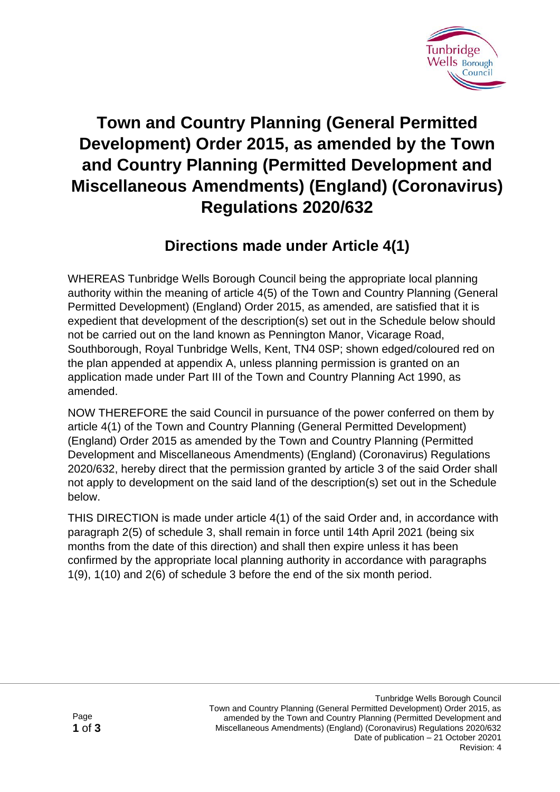

## **Town and Country Planning (General Permitted Development) Order 2015, as amended by the Town and Country Planning (Permitted Development and Miscellaneous Amendments) (England) (Coronavirus) Regulations 2020/632**

## **Directions made under Article 4(1)**

WHEREAS Tunbridge Wells Borough Council being the appropriate local planning authority within the meaning of article 4(5) of the Town and Country Planning (General Permitted Development) (England) Order 2015, as amended, are satisfied that it is expedient that development of the description(s) set out in the Schedule below should not be carried out on the land known as Pennington Manor, Vicarage Road, Southborough, Royal Tunbridge Wells, Kent, TN4 0SP; shown edged/coloured red on the plan appended at appendix A, unless planning permission is granted on an application made under Part III of the Town and Country Planning Act 1990, as amended.

NOW THEREFORE the said Council in pursuance of the power conferred on them by article 4(1) of the Town and Country Planning (General Permitted Development) (England) Order 2015 as amended by the Town and Country Planning (Permitted Development and Miscellaneous Amendments) (England) (Coronavirus) Regulations 2020/632, hereby direct that the permission granted by article 3 of the said Order shall not apply to development on the said land of the description(s) set out in the Schedule below.

THIS DIRECTION is made under article 4(1) of the said Order and, in accordance with paragraph 2(5) of schedule 3, shall remain in force until 14th April 2021 (being six months from the date of this direction) and shall then expire unless it has been confirmed by the appropriate local planning authority in accordance with paragraphs 1(9), 1(10) and 2(6) of schedule 3 before the end of the six month period.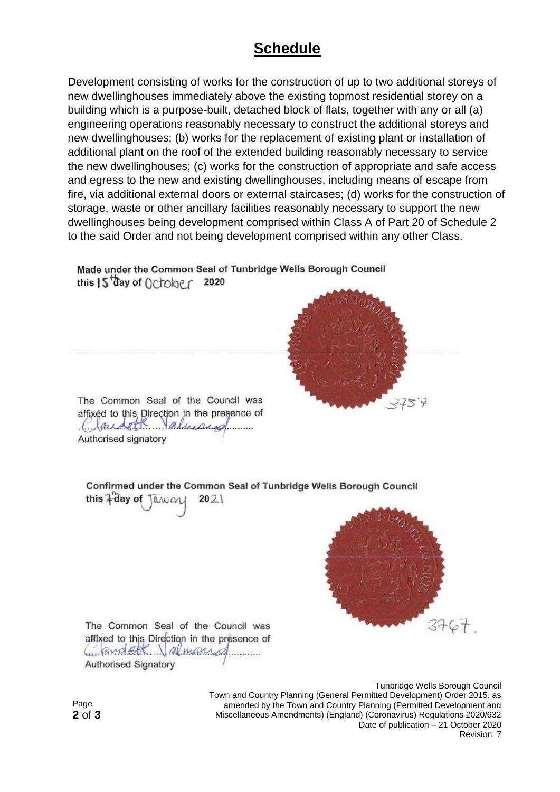## **Schedule**

Development consisting of works for the construction of up to two additional storeys of new dwellinghouses immediately above the existing topmost residential storey on a building which is a purpose-built, detached block of flats, together with any or all (a) engineering operations reasonably necessary to construct the additional storeys and new dwellinghouses; (b) works for the replacement of existing plant or installation of additional plant on the roof of the extended building reasonably necessary to service the new dwellinghouses; (c) works for the construction of appropriate and safe access and egress to the new and existing dwellinghouses, including means of escape from fire, via additional external doors or external staircases; (d) works for the construction of storage, waste or other ancillary facilities reasonably necessary to support the new dwellinghouses being development comprised within Class A of Part 20 of Schedule 2 to the said Order and not being development comprised within any other Class.

Made under the Common Seal of Tunbridge Wells Borough Council this  $5^{4}$ ay of  $0 \text{cber}$  2020



The Common Seal of the Council was affixed to this Direction in the presence of Caracter almanage Authorised signatory

Confirmed under the Common Seal of Tunbridge Wells Borough Council this +day of Twwar  $2021$ 

The Common Seal of the Council was affixed to this Direction in the presence of Condett Jalmans **Authorised Signatory** 

> Tunbridge Wells Borough Council Town and Country Planning (General Permitted Development) Order 2015, as amended by the Town and Country Planning (Permitted Development and Miscellaneous Amendments) (England) (Coronavirus) Regulations 2020/632 Date of publication – 21 October 2020 Revision: 7

Page **2** of **3**